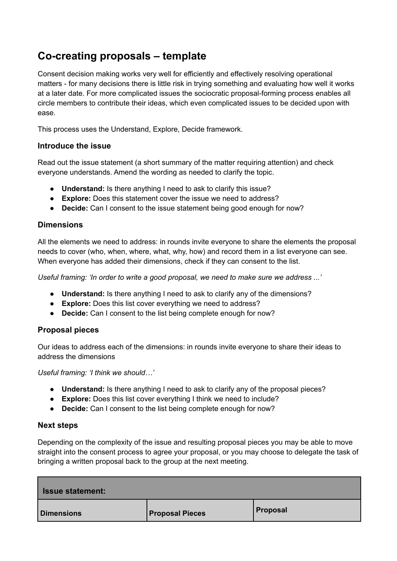# **Co-creating proposals – template**

Consent decision making works very well for efficiently and effectively resolving operational matters - for many decisions there is little risk in trying something and evaluating how well it works at a later date. For more complicated issues the sociocratic proposal-forming process enables all circle members to contribute their ideas, which even complicated issues to be decided upon with ease.

This process uses the Understand, Explore, Decide framework.

## **Introduce the issue**

Read out the issue statement (a short summary of the matter requiring attention) and check everyone understands. Amend the wording as needed to clarify the topic.

- **Understand:** Is there anything I need to ask to clarify this issue?
- **Explore:** Does this statement cover the issue we need to address?
- **Decide:** Can I consent to the issue statement being good enough for now?

## **Dimensions**

All the elements we need to address: in rounds invite everyone to share the elements the proposal needs to cover (who, when, where, what, why, how) and record them in a list everyone can see. When everyone has added their dimensions, check if they can consent to the list.

*Useful framing: 'In order to write a good proposal, we need to make sure we address ...'*

- **Understand:** Is there anything I need to ask to clarify any of the dimensions?
- **Explore:** Does this list cover everything we need to address?
- **Decide:** Can I consent to the list being complete enough for now?

## **Proposal pieces**

Our ideas to address each of the dimensions: in rounds invite everyone to share their ideas to address the dimensions

*Useful framing: 'I think we should…'*

- **Understand:** Is there anything I need to ask to clarify any of the proposal pieces?
- **Explore:** Does this list cover everything I think we need to include?
- **Decide:** Can I consent to the list being complete enough for now?

### **Next steps**

Depending on the complexity of the issue and resulting proposal pieces you may be able to move straight into the consent process to agree your proposal, or you may choose to delegate the task of bringing a written proposal back to the group at the next meeting.

| <b>Issue statement:</b> |                        |          |
|-------------------------|------------------------|----------|
| <b>Dimensions</b>       | <b>Proposal Pieces</b> | Proposal |